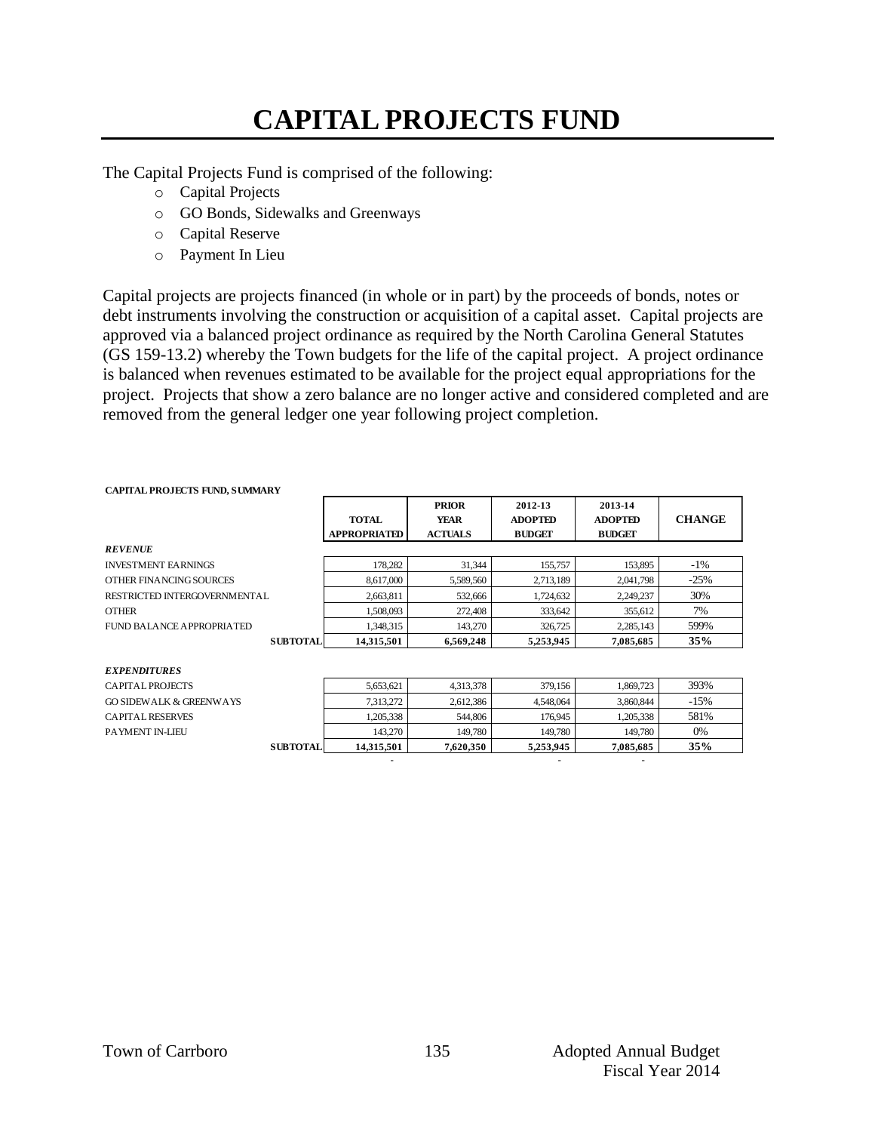## **CAPITAL PROJECTS FUND**

The Capital Projects Fund is comprised of the following:

- o Capital Projects
- o GO Bonds, Sidewalks and Greenways
- o Capital Reserve
- o Payment In Lieu

Capital projects are projects financed (in whole or in part) by the proceeds of bonds, notes or debt instruments involving the construction or acquisition of a capital asset. Capital projects are approved via a balanced project ordinance as required by the North Carolina General Statutes (GS 159-13.2) whereby the Town budgets for the life of the capital project. A project ordinance is balanced when revenues estimated to be available for the project equal appropriations for the project. Projects that show a zero balance are no longer active and considered completed and are removed from the general ledger one year following project completion.

| CAPITAL PROJECTS FUND, SUMMART     |                     |                |                |                |               |  |
|------------------------------------|---------------------|----------------|----------------|----------------|---------------|--|
|                                    |                     | <b>PRIOR</b>   | 2012-13        | 2013-14        |               |  |
|                                    | <b>TOTAL</b>        | <b>YEAR</b>    | <b>ADOPTED</b> | <b>ADOPTED</b> | <b>CHANGE</b> |  |
|                                    | <b>APPROPRIATED</b> | <b>ACTUALS</b> | <b>BUDGET</b>  | <b>BUDGET</b>  |               |  |
| <b>REVENUE</b>                     |                     |                |                |                |               |  |
| <b>INVESTMENT EARNINGS</b>         | 178,282             | 31,344         | 155,757        | 153,895        | $-1\%$        |  |
| OTHER FINANCING SOURCES            | 8,617,000           | 5,589,560      | 2,713,189      | 2,041,798      | $-25%$        |  |
| RESTRICTED INTERGOVERNMENTAL       | 2,663,811           | 532,666        | 1,724,632      | 2,249,237      | 30%           |  |
| <b>OTHER</b>                       | 1.508.093           | 272,408        | 333,642        | 355.612        | 7%            |  |
| FUND BALANCE APPROPRIATED          | 1.348.315           | 143,270        | 326,725        | 2,285,143      | 599%          |  |
| <b>SUBTOTAL</b>                    | 14,315,501          | 6,569,248      | 5,253,945      | 7,085,685      | 35%           |  |
|                                    |                     |                |                |                |               |  |
| <b>EXPENDITURES</b>                |                     |                |                |                |               |  |
| CAPITAL PROJECTS                   | 5,653,621           | 4,313,378      | 379,156        | 1,869,723      | 393%          |  |
| <b>GO SIDEWALK &amp; GREENWAYS</b> | 7,313,272           | 2,612,386      | 4,548,064      | 3,860,844      | $-15%$        |  |
| <b>CAPITAL RESERVES</b>            | 1,205,338           | 544,806        | 176,945        | 1,205,338      | 581%          |  |

PAYMENT IN-LIEU 143,270 149,780 149,780 149,780 149,780 0%

**SUBTOTAL 14,315,501 7,620,350 5,253,945 7,085,685 35%** - - -

#### **CAPITAL PROJECTS FUND, SUMMARY**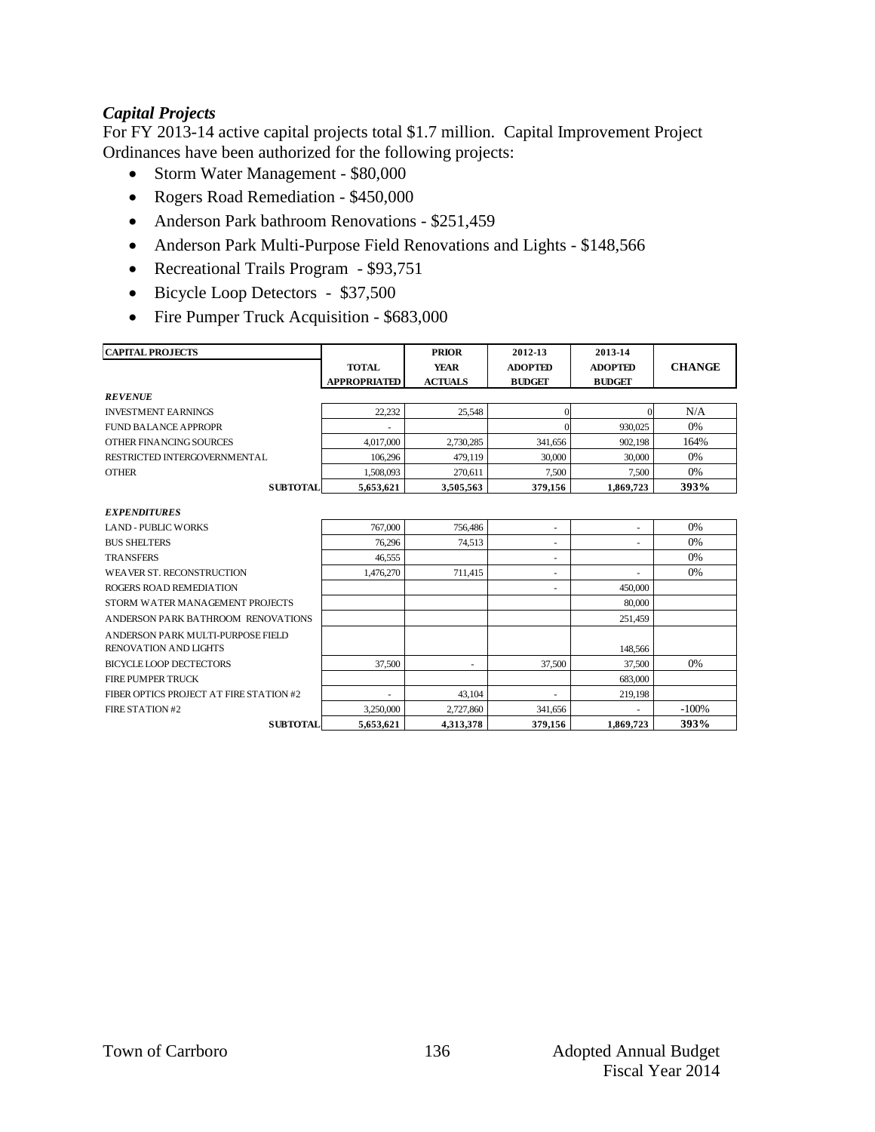### *Capital Projects*

For FY 2013-14 active capital projects total \$1.7 million. Capital Improvement Project Ordinances have been authorized for the following projects:

- Storm Water Management \$80,000
- Rogers Road Remediation \$450,000
- Anderson Park bathroom Renovations \$251,459
- Anderson Park Multi-Purpose Field Renovations and Lights \$148,566
- Recreational Trails Program \$93,751
- Bicycle Loop Detectors \$37,500
- Fire Pumper Truck Acquisition \$683,000

| <b>CAPITAL PROJECTS</b>                                    |                     | <b>PRIOR</b>             | 2012-13                  | 2013-14        |               |  |
|------------------------------------------------------------|---------------------|--------------------------|--------------------------|----------------|---------------|--|
|                                                            | <b>TOTAL</b>        | <b>YEAR</b>              | <b>ADOPTED</b>           | <b>ADOPTED</b> | <b>CHANGE</b> |  |
|                                                            | <b>APPROPRIATED</b> | <b>ACTUALS</b>           | <b>BUDGET</b>            | <b>BUDGET</b>  |               |  |
| <b>REVENUE</b>                                             |                     |                          |                          |                |               |  |
| <b>INVESTMENT FARNINGS</b>                                 | 22.232              | 25.548                   | $\theta$                 | $\Omega$       | N/A           |  |
| FUND BALANCE APPROPR                                       |                     |                          | 0                        | 930,025        | 0%            |  |
| OTHER FINANCING SOURCES                                    | 4.017.000           | 2,730,285                | 341,656                  | 902,198        | 164%          |  |
| RESTRICTED INTERGOVERNMENTAL                               | 106.296             | 479.119                  | 30,000                   | 30,000         | 0%            |  |
| <b>OTHER</b>                                               | 1,508,093           | 270.611                  | 7,500                    | 7.500          | 0%            |  |
| <b>SUBTOTAL</b>                                            | 5,653,621           | 3,505,563                | 379,156                  | 1,869,723      | 393%          |  |
| <b>EXPENDITURES</b>                                        |                     |                          |                          |                |               |  |
| <b>LAND - PUBLIC WORKS</b>                                 | 767,000             | 756,486                  | $\overline{\phantom{a}}$ |                | 0%            |  |
| <b>BUS SHELTERS</b>                                        | 76,296              | 74.513                   | ٠                        | ٠              | 0%            |  |
| <b>TRANSFERS</b>                                           | 46.555              |                          |                          |                | 0%            |  |
| WEAVER ST. RECONSTRUCTION                                  | 1.476.270           | 711.415                  | ٠                        |                | 0%            |  |
| ROGERS ROAD REMEDIATION                                    |                     |                          |                          | 450,000        |               |  |
| STORM WATER MANAGEMENT PROJECTS                            |                     |                          |                          | 80,000         |               |  |
| ANDERSON PARK BATHROOM RENOVATIONS                         |                     |                          |                          | 251,459        |               |  |
| ANDERSON PARK MULTI-PURPOSE FIELD<br>RENOVATION AND LIGHTS |                     |                          |                          | 148,566        |               |  |
| BICYCLE LOOP DECTECTORS                                    |                     |                          |                          |                | 0%            |  |
|                                                            | 37,500              | $\overline{\phantom{a}}$ | 37,500                   | 37.500         |               |  |
| <b>FIRE PUMPER TRUCK</b>                                   |                     |                          |                          | 683,000        |               |  |
| FIBER OPTICS PROJECT AT FIRE STATION #2                    |                     | 43.104                   |                          | 219,198        |               |  |
| FIRE STATION #2                                            | 3.250,000           | 2,727,860                | 341,656                  |                | $-100%$       |  |
| <b>SUBTOTAL</b>                                            | 5.653.621           | 4.313.378                | 379.156                  | 1.869.723      | 393%          |  |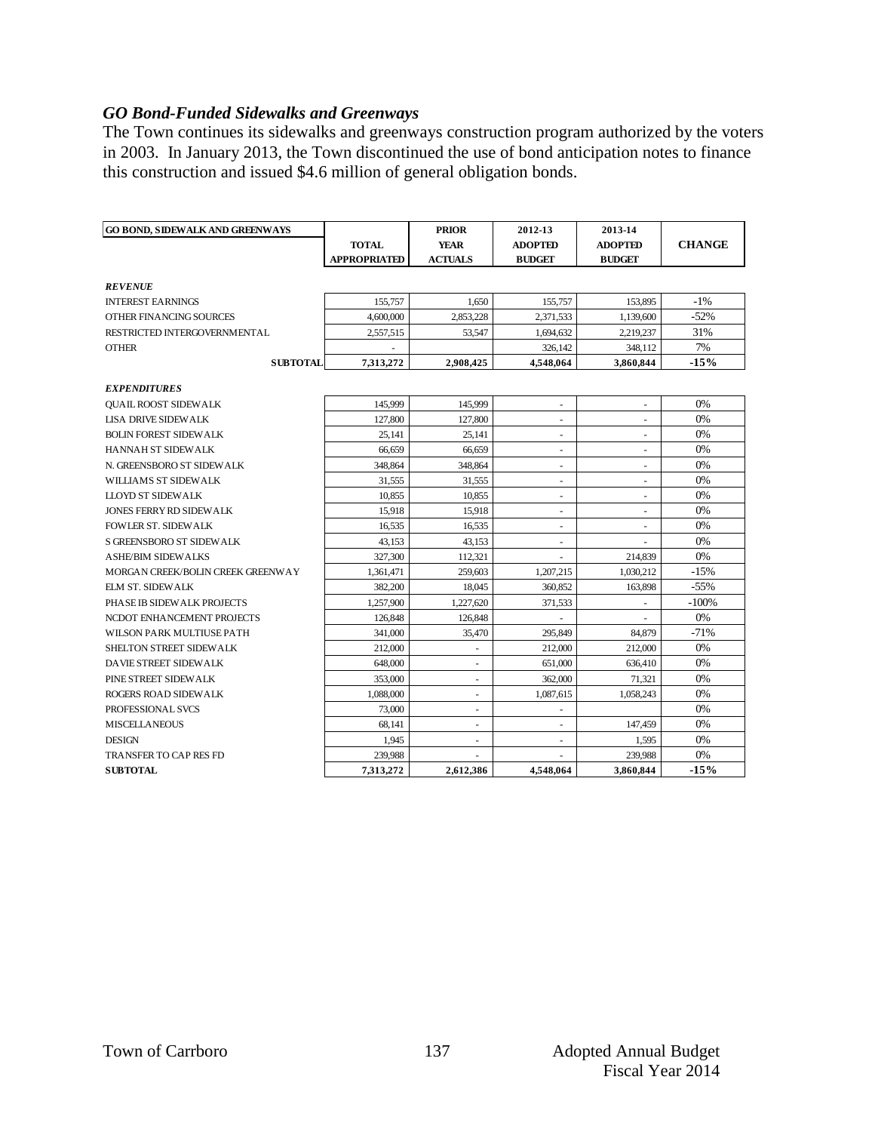### *GO Bond-Funded Sidewalks and Greenways*

The Town continues its sidewalks and greenways construction program authorized by the voters in 2003. In January 2013, the Town discontinued the use of bond anticipation notes to finance this construction and issued \$4.6 million of general obligation bonds.

| <b>GO BOND, SIDEWALK AND GREENWAYS</b> |                     | <b>PRIOR</b>             | 2012-13                  | 2013-14                  |               |  |
|----------------------------------------|---------------------|--------------------------|--------------------------|--------------------------|---------------|--|
|                                        | <b>TOTAL</b>        | <b>YEAR</b>              | <b>ADOPTED</b>           | <b>ADOPTED</b>           | <b>CHANGE</b> |  |
|                                        | <b>APPROPRIATED</b> | <b>ACTUALS</b>           | <b>BUDGET</b>            | <b>BUDGET</b>            |               |  |
| <b>REVENUE</b>                         |                     |                          |                          |                          |               |  |
| <b>INTEREST EARNINGS</b>               | 155,757             | 1.650                    | 155,757                  | 153,895                  | $-1\%$        |  |
| OTHER FINANCING SOURCES                | 4,600,000           | 2,853,228                | 2,371,533                | 1,139,600                | $-52%$        |  |
| RESTRICTED INTERGOVERNMENTAL           | 2,557,515           | 53,547                   | 1,694,632                | 2.219.237                | 31%           |  |
| <b>OTHER</b>                           |                     |                          | 326,142                  | 348,112                  | 7%            |  |
| <b>SUBTOTAL</b>                        | 7,313,272           | 2,908,425                | 4,548,064                | 3,860,844                | $-15%$        |  |
|                                        |                     |                          |                          |                          |               |  |
| <b>EXPENDITURES</b>                    |                     |                          |                          |                          |               |  |
| <b>OUAIL ROOST SIDEWALK</b>            | 145,999             | 145,999                  | $\overline{\phantom{a}}$ | $\overline{\phantom{a}}$ | 0%            |  |
| <b>LISA DRIVE SIDEWALK</b>             | 127,800             | 127,800                  | $\sim$                   | $\overline{\phantom{a}}$ | 0%            |  |
| <b>BOLIN FOREST SIDEWALK</b>           | 25,141              | 25,141                   | $\sim$                   | ä,                       | 0%            |  |
| HANNAH ST SIDEWALK                     | 66,659              | 66,659                   | ÷.                       | ÷,                       | 0%            |  |
| N. GREENSBORO ST SIDEWALK              | 348,864             | 348,864                  | ÷.                       | L.                       | 0%            |  |
| WILLIAMS ST SIDEWALK                   | 31,555              | 31,555                   |                          |                          | 0%            |  |
| <b>LLOYD ST SIDEWALK</b>               | 10.855              | 10.855                   |                          |                          | 0%            |  |
| <b>JONES FERRY RD SIDEWALK</b>         | 15,918              | 15,918                   | $\overline{\phantom{a}}$ | $\overline{\phantom{a}}$ | 0%            |  |
| <b>FOWLER ST. SIDEWALK</b>             | 16,535              | 16,535                   | $\overline{\phantom{a}}$ | $\blacksquare$           | 0%            |  |
| S GREENSBORO ST SIDEWALK               | 43.153              | 43.153                   | $\sim$                   |                          | 0%            |  |
| <b>ASHE/BIM SIDEWALKS</b>              | 327,300             | 112,321                  |                          | 214,839                  | 0%            |  |
| MORGAN CREEK/BOLIN CREEK GREENWAY      | 1,361,471           | 259,603                  | 1,207,215                | 1,030,212                | $-15%$        |  |
| <b>ELM ST. SIDEWALK</b>                | 382,200             | 18,045                   | 360,852                  | 163,898                  | $-55%$        |  |
| PHASE IB SIDEWALK PROJECTS             | 1,257,900           | 1,227,620                | 371,533                  |                          | $-100%$       |  |
| NCDOT ENHANCEMENT PROJECTS             | 126,848             | 126,848                  |                          |                          | 0%            |  |
| WILSON PARK MULTIUSE PATH              | 341,000             | 35,470                   | 295,849                  | 84,879                   | $-71%$        |  |
| SHELTON STREET SIDEWALK                | 212,000             |                          | 212,000                  | 212,000                  | 0%            |  |
| DAVIE STREET SIDEWALK                  | 648,000             | ÷,                       | 651,000                  | 636,410                  | 0%            |  |
| PINE STREET SIDEWALK                   | 353,000             | $\overline{\phantom{a}}$ | 362,000                  | 71.321                   | 0%            |  |
| <b>ROGERS ROAD SIDEWALK</b>            | 1,088,000           | $\overline{\phantom{a}}$ | 1,087,615                | 1,058,243                | 0%            |  |
| PROFESSIONAL SVCS                      | 73,000              | $\overline{\phantom{a}}$ | $\overline{\phantom{a}}$ |                          | 0%            |  |
| <b>MISCELLANEOUS</b>                   | 68,141              | $\overline{\phantom{a}}$ | $\overline{\phantom{a}}$ | 147,459                  | 0%            |  |
| <b>DESIGN</b>                          | 1,945               | $\sim$                   | $\sim$                   | 1,595                    | 0%            |  |
| <b>TRANSFER TO CAP RES FD</b>          | 239,988             |                          |                          | 239,988                  | 0%            |  |
| <b>SUBTOTAL</b>                        | 7,313,272           | 2,612,386                | 4.548.064                | 3,860,844                | $-15%$        |  |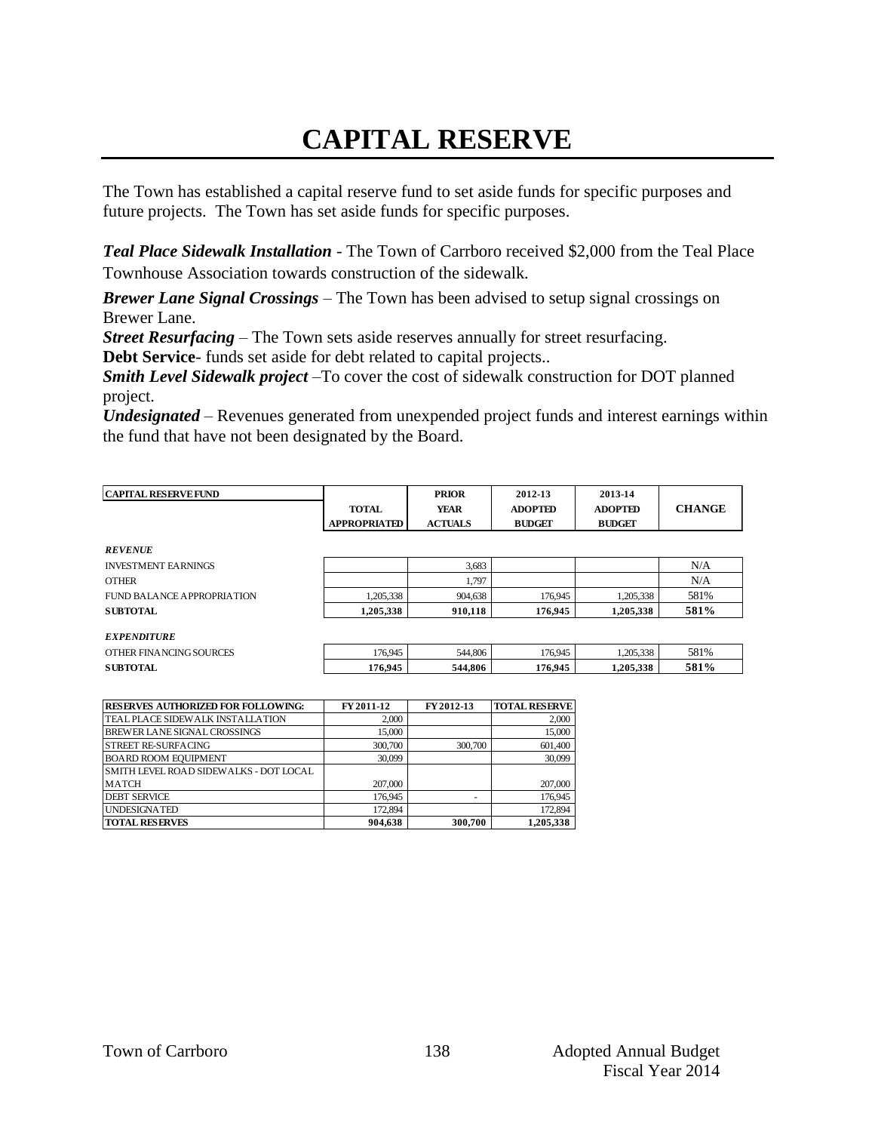# **CAPITAL RESERVE**

The Town has established a capital reserve fund to set aside funds for specific purposes and future projects. The Town has set aside funds for specific purposes.

*Teal Place Sidewalk Installation -* The Town of Carrboro received \$2,000 from the Teal Place Townhouse Association towards construction of the sidewalk*.*

*Brewer Lane Signal Crossings –* The Town has been advised to setup signal crossings on Brewer Lane.

*Street Resurfacing* – The Town sets aside reserves annually for street resurfacing.

**Debt Service**- funds set aside for debt related to capital projects..

*Smith Level Sidewalk project –*To cover the cost of sidewalk construction for DOT planned project.

*Undesignated* – Revenues generated from unexpended project funds and interest earnings within the fund that have not been designated by the Board.

| <b>CAPITAL RESERVE FUND</b> |                     | <b>PRIOR</b>   | 2012-13        | 2013-14        |               |
|-----------------------------|---------------------|----------------|----------------|----------------|---------------|
|                             | <b>TOTAL</b>        | YEAR           | <b>ADOPTED</b> | <b>ADOPTED</b> | <b>CHANGE</b> |
|                             | <b>APPROPRIATED</b> | <b>ACTUALS</b> | <b>BUDGET</b>  | <b>BUDGET</b>  |               |
|                             |                     |                |                |                |               |
| <b>REVENUE</b>              |                     |                |                |                |               |
| <b>INVESTMENT EARNINGS</b>  |                     | 3,683          |                |                | N/A           |
| <b>OTHER</b>                |                     | 1.797          |                |                | N/A           |
| FUND BALANCE APPROPRIATION  | 1.205.338           | 904,638        | 176,945        | 1.205.338      | 581%          |
| <b>SUBTOTAL</b>             | 1,205,338           | 910,118        | 176.945        | 1,205,338      | 581%          |
|                             |                     |                |                |                |               |
| <b>EXPENDITURE</b>          |                     |                |                |                |               |
| OTHER FINANCING SOURCES     | 176,945             | 544,806        | 176,945        | 1,205,338      | 581%          |
| <b>SUBTOTAL</b>             | 176.945             | 544.806        | 176.945        | 1,205,338      | 581%          |

| <b>RESERVES AUTHORIZED FOR FOLLOWING:</b>      | FY 2011-12 | FY 2012-13 | <b>TOTAL RESERVE</b> |
|------------------------------------------------|------------|------------|----------------------|
| <b>TEAL PLACE SIDEWALK INSTALLATION</b>        | 2,000      |            | 2,000                |
| BREWER LANE SIGNAL CROSSINGS                   | 15,000     |            | 15,000               |
| <b>STREET RE-SURFACING</b>                     | 300,700    | 300,700    | 601,400              |
| <b>BOARD ROOM EOUIPMENT</b>                    | 30,099     |            | 30,099               |
| <b>ISMITH LEVEL ROAD SIDEWALKS - DOT LOCAL</b> |            |            |                      |
| <b>MATCH</b>                                   | 207,000    |            | 207,000              |
| <b>DEBT SERVICE</b>                            | 176,945    |            | 176,945              |
| <b>UNDESIGNATED</b>                            | 172,894    |            | 172,894              |
| <b>TOTAL RESERVES</b>                          | 904.638    | 300,700    | 1.205.338            |